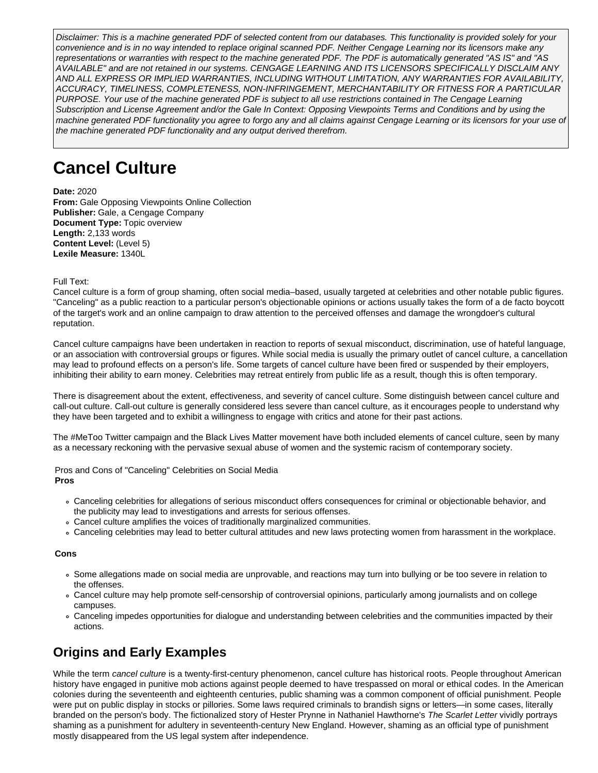Disclaimer: This is a machine generated PDF of selected content from our databases. This functionality is provided solely for your convenience and is in no way intended to replace original scanned PDF. Neither Cengage Learning nor its licensors make any representations or warranties with respect to the machine generated PDF. The PDF is automatically generated "AS IS" and "AS AVAILABLE" and are not retained in our systems. CENGAGE LEARNING AND ITS LICENSORS SPECIFICALLY DISCLAIM ANY AND ALL EXPRESS OR IMPLIED WARRANTIES, INCLUDING WITHOUT LIMITATION, ANY WARRANTIES FOR AVAILABILITY, ACCURACY, TIMELINESS, COMPLETENESS, NON-INFRINGEMENT, MERCHANTABILITY OR FITNESS FOR A PARTICULAR PURPOSE. Your use of the machine generated PDF is subject to all use restrictions contained in The Cengage Learning Subscription and License Agreement and/or the Gale In Context: Opposing Viewpoints Terms and Conditions and by using the machine generated PDF functionality you agree to forgo any and all claims against Cengage Learning or its licensors for your use of the machine generated PDF functionality and any output derived therefrom.

# **Cancel Culture**

**Date:** 2020 **From:** Gale Opposing Viewpoints Online Collection **Publisher:** Gale, a Cengage Company **Document Type:** Topic overview **Length:** 2,133 words **Content Level:** (Level 5) **Lexile Measure:** 1340L

Full Text:

Cancel culture is a form of group shaming, often social media–based, usually targeted at celebrities and other notable public figures. "Canceling" as a public reaction to a particular person's objectionable opinions or actions usually takes the form of a de facto boycott of the target's work and an online campaign to draw attention to the perceived offenses and damage the wrongdoer's cultural reputation.

Cancel culture campaigns have been undertaken in reaction to reports of sexual misconduct, discrimination, use of hateful language, or an association with controversial groups or figures. While social media is usually the primary outlet of cancel culture, a cancellation may lead to profound effects on a person's life. Some targets of cancel culture have been fired or suspended by their employers, inhibiting their ability to earn money. Celebrities may retreat entirely from public life as a result, though this is often temporary.

There is disagreement about the extent, effectiveness, and severity of cancel culture. Some distinguish between cancel culture and call-out culture. Call-out culture is generally considered less severe than cancel culture, as it encourages people to understand why they have been targeted and to exhibit a willingness to engage with critics and atone for their past actions.

The #MeToo Twitter campaign and the Black Lives Matter movement have both included elements of cancel culture, seen by many as a necessary reckoning with the pervasive sexual abuse of women and the systemic racism of contemporary society.

Pros and Cons of "Canceling" Celebrities on Social Media **Pros**

- Canceling celebrities for allegations of serious misconduct offers consequences for criminal or objectionable behavior, and the publicity may lead to investigations and arrests for serious offenses.
- Cancel culture amplifies the voices of traditionally marginalized communities.
- Canceling celebrities may lead to better cultural attitudes and new laws protecting women from harassment in the workplace.

#### **Cons**

- Some allegations made on social media are unprovable, and reactions may turn into bullying or be too severe in relation to the offenses.
- Cancel culture may help promote self-censorship of controversial opinions, particularly among journalists and on college campuses.
- Canceling impedes opportunities for dialogue and understanding between celebrities and the communities impacted by their actions.

## **Origins and Early Examples**

While the term cancel culture is a twenty-first-century phenomenon, cancel culture has historical roots. People throughout American history have engaged in punitive mob actions against people deemed to have trespassed on moral or ethical codes. In the American colonies during the seventeenth and eighteenth centuries, public shaming was a common component of official punishment. People were put on public display in stocks or pillories. Some laws required criminals to brandish signs or letters—in some cases, literally branded on the person's body. The fictionalized story of Hester Prynne in Nathaniel Hawthorne's The Scarlet Letter vividly portrays shaming as a punishment for adultery in seventeenth-century New England. However, shaming as an official type of punishment mostly disappeared from the US legal system after independence.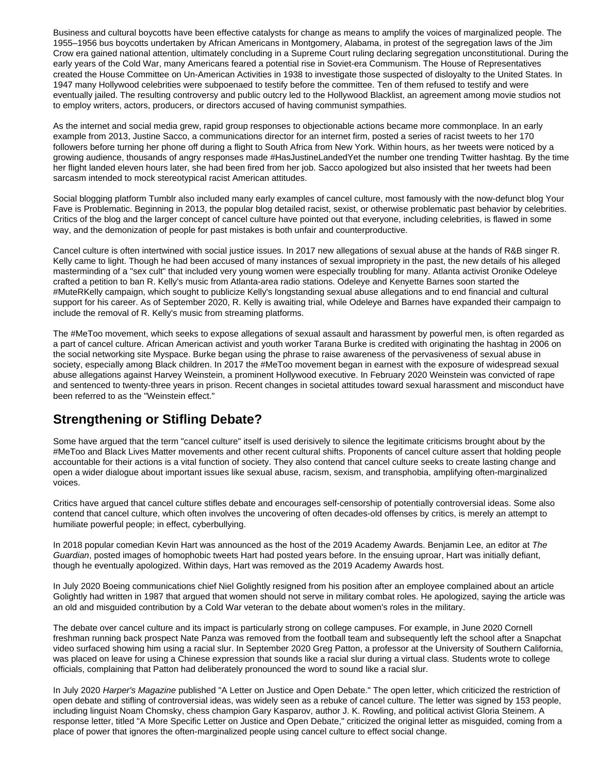Business and cultural boycotts have been effective catalysts for change as means to amplify the voices of marginalized people. The 1955–1956 bus boycotts undertaken by African Americans in Montgomery, Alabama, in protest of the segregation laws of the Jim Crow era gained national attention, ultimately concluding in a Supreme Court ruling declaring segregation unconstitutional. During the early years of the Cold War, many Americans feared a potential rise in Soviet-era Communism. The House of Representatives created the House Committee on Un-American Activities in 1938 to investigate those suspected of disloyalty to the United States. In 1947 many Hollywood celebrities were subpoenaed to testify before the committee. Ten of them refused to testify and were eventually jailed. The resulting controversy and public outcry led to the Hollywood Blacklist, an agreement among movie studios not to employ writers, actors, producers, or directors accused of having communist sympathies.

As the internet and social media grew, rapid group responses to objectionable actions became more commonplace. In an early example from 2013, Justine Sacco, a communications director for an internet firm, posted a series of racist tweets to her 170 followers before turning her phone off during a flight to South Africa from New York. Within hours, as her tweets were noticed by a growing audience, thousands of angry responses made #HasJustineLandedYet the number one trending Twitter hashtag. By the time her flight landed eleven hours later, she had been fired from her job. Sacco apologized but also insisted that her tweets had been sarcasm intended to mock stereotypical racist American attitudes.

Social blogging platform Tumblr also included many early examples of cancel culture, most famously with the now-defunct blog Your Fave is Problematic. Beginning in 2013, the popular blog detailed racist, sexist, or otherwise problematic past behavior by celebrities. Critics of the blog and the larger concept of cancel culture have pointed out that everyone, including celebrities, is flawed in some way, and the demonization of people for past mistakes is both unfair and counterproductive.

Cancel culture is often intertwined with social justice issues. In 2017 new allegations of sexual abuse at the hands of R&B singer R. Kelly came to light. Though he had been accused of many instances of sexual impropriety in the past, the new details of his alleged masterminding of a "sex cult" that included very young women were especially troubling for many. Atlanta activist Oronike Odeleye crafted a petition to ban R. Kelly's music from Atlanta-area radio stations. Odeleye and Kenyette Barnes soon started the #MuteRKelly campaign, which sought to publicize Kelly's longstanding sexual abuse allegations and to end financial and cultural support for his career. As of September 2020, R. Kelly is awaiting trial, while Odeleye and Barnes have expanded their campaign to include the removal of R. Kelly's music from streaming platforms.

The #MeToo movement, which seeks to expose allegations of sexual assault and harassment by powerful men, is often regarded as a part of cancel culture. African American activist and youth worker Tarana Burke is credited with originating the hashtag in 2006 on the social networking site Myspace. Burke began using the phrase to raise awareness of the pervasiveness of sexual abuse in society, especially among Black children. In 2017 the #MeToo movement began in earnest with the exposure of widespread sexual abuse allegations against Harvey Weinstein, a prominent Hollywood executive. In February 2020 Weinstein was convicted of rape and sentenced to twenty-three years in prison. Recent changes in societal attitudes toward sexual harassment and misconduct have been referred to as the "Weinstein effect."

## **Strengthening or Stifling Debate?**

Some have argued that the term "cancel culture" itself is used derisively to silence the legitimate criticisms brought about by the #MeToo and Black Lives Matter movements and other recent cultural shifts. Proponents of cancel culture assert that holding people accountable for their actions is a vital function of society. They also contend that cancel culture seeks to create lasting change and open a wider dialogue about important issues like sexual abuse, racism, sexism, and transphobia, amplifying often-marginalized voices.

Critics have argued that cancel culture stifles debate and encourages self-censorship of potentially controversial ideas. Some also contend that cancel culture, which often involves the uncovering of often decades-old offenses by critics, is merely an attempt to humiliate powerful people; in effect, cyberbullying.

In 2018 popular comedian Kevin Hart was announced as the host of the 2019 Academy Awards. Benjamin Lee, an editor at The Guardian, posted images of homophobic tweets Hart had posted years before. In the ensuing uproar, Hart was initially defiant, though he eventually apologized. Within days, Hart was removed as the 2019 Academy Awards host.

In July 2020 Boeing communications chief Niel Golightly resigned from his position after an employee complained about an article Golightly had written in 1987 that argued that women should not serve in military combat roles. He apologized, saying the article was an old and misguided contribution by a Cold War veteran to the debate about women's roles in the military.

The debate over cancel culture and its impact is particularly strong on college campuses. For example, in June 2020 Cornell freshman running back prospect Nate Panza was removed from the football team and subsequently left the school after a Snapchat video surfaced showing him using a racial slur. In September 2020 Greg Patton, a professor at the University of Southern California, was placed on leave for using a Chinese expression that sounds like a racial slur during a virtual class. Students wrote to college officials, complaining that Patton had deliberately pronounced the word to sound like a racial slur.

In July 2020 Harper's Magazine published "A Letter on Justice and Open Debate." The open letter, which criticized the restriction of open debate and stifling of controversial ideas, was widely seen as a rebuke of cancel culture. The letter was signed by 153 people, including linguist Noam Chomsky, chess champion Gary Kasparov, author J. K. Rowling, and political activist Gloria Steinem. A response letter, titled "A More Specific Letter on Justice and Open Debate," criticized the original letter as misguided, coming from a place of power that ignores the often-marginalized people using cancel culture to effect social change.